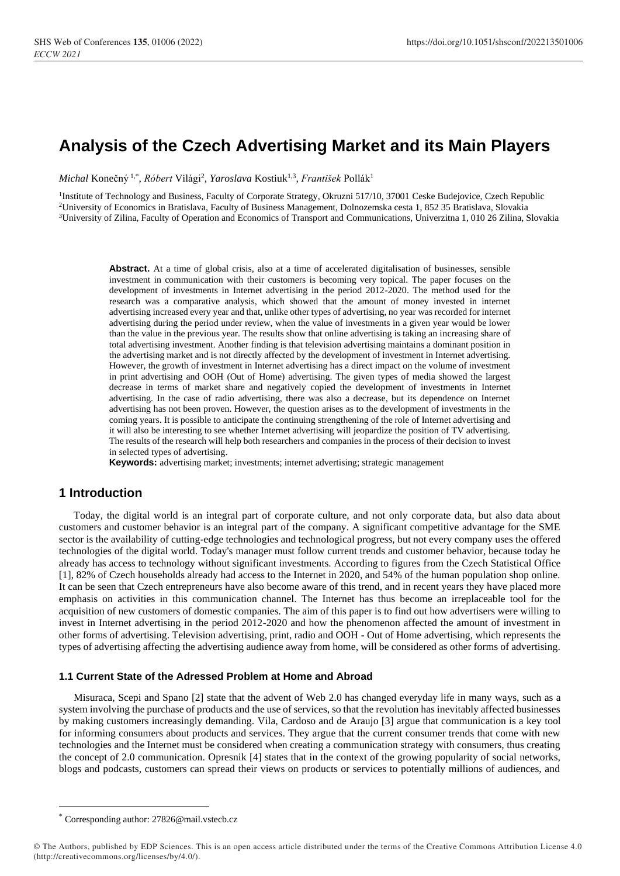# **Analysis of the Czech Advertising Market and its Main Players**

*Michal* Konečný 1,\* , *Róbert* Világi<sup>2</sup> , *Yaroslava* Kostiuk1,3 , *František* Pollák<sup>1</sup>

<sup>1</sup>Institute of Technology and Business, Faculty of Corporate Strategy, Okruzni 517/10, 37001 Ceske Budejovice, Czech Republic <sup>2</sup>University of Economics in Bratislava, Faculty of Business Management, Dolnozemska cesta 1, 852 35 Bratislava, Slovakia <sup>3</sup>University of Zilina, Faculty of Operation and Economics of Transport and Communications, Univerzitna 1, 010 26 Zilina, Slovakia

**Abstract.** At a time of global crisis, also at a time of accelerated digitalisation of businesses, sensible investment in communication with their customers is becoming very topical. The paper focuses on the development of investments in Internet advertising in the period 2012-2020. The method used for the research was a comparative analysis, which showed that the amount of money invested in internet advertising increased every year and that, unlike other types of advertising, no year was recorded for internet advertising during the period under review, when the value of investments in a given year would be lower than the value in the previous year. The results show that online advertising is taking an increasing share of total advertising investment. Another finding is that television advertising maintains a dominant position in the advertising market and is not directly affected by the development of investment in Internet advertising. However, the growth of investment in Internet advertising has a direct impact on the volume of investment in print advertising and OOH (Out of Home) advertising. The given types of media showed the largest decrease in terms of market share and negatively copied the development of investments in Internet advertising. In the case of radio advertising, there was also a decrease, but its dependence on Internet advertising has not been proven. However, the question arises as to the development of investments in the coming years. It is possible to anticipate the continuing strengthening of the role of Internet advertising and it will also be interesting to see whether Internet advertising will jeopardize the position of TV advertising. The results of the research will help both researchers and companies in the process of their decision to invest in selected types of advertising.

**Keywords:** advertising market; investments; internet advertising; strategic management

## **1 Introduction**

Today, the digital world is an integral part of corporate culture, and not only corporate data, but also data about customers and customer behavior is an integral part of the company. A significant competitive advantage for the SME sector is the availability of cutting-edge technologies and technological progress, but not every company uses the offered technologies of the digital world. Today's manager must follow current trends and customer behavior, because today he already has access to technology without significant investments. According to figures from the Czech Statistical Office [1], 82% of Czech households already had access to the Internet in 2020, and 54% of the human population shop online. It can be seen that Czech entrepreneurs have also become aware of this trend, and in recent years they have placed more emphasis on activities in this communication channel. The Internet has thus become an irreplaceable tool for the acquisition of new customers of domestic companies. The aim of this paper is to find out how advertisers were willing to invest in Internet advertising in the period 2012-2020 and how the phenomenon affected the amount of investment in other forms of advertising. Television advertising, print, radio and OOH - Out of Home advertising, which represents the types of advertising affecting the advertising audience away from home, will be considered as other forms of advertising.

#### **1.1 Current State of the Adressed Problem at Home and Abroad**

Misuraca, Scepi and Spano [2] state that the advent of Web 2.0 has changed everyday life in many ways, such as a system involving the purchase of products and the use of services, so that the revolution has inevitably affected businesses by making customers increasingly demanding. Vila, Cardoso and de Araujo [3] argue that communication is a key tool for informing consumers about products and services. They argue that the current consumer trends that come with new technologies and the Internet must be considered when creating a communication strategy with consumers, thus creating the concept of 2.0 communication. Opresnik [4] states that in the context of the growing popularity of social networks, blogs and podcasts, customers can spread their views on products or services to potentially millions of audiences, and

<sup>\*</sup> Corresponding author: 27826@mail.vstecb.cz

<sup>©</sup> The Authors, published by EDP Sciences. This is an open access article distributed under the terms of the Creative Commons Attribution License 4.0 (http://creativecommons.org/licenses/by/4.0/).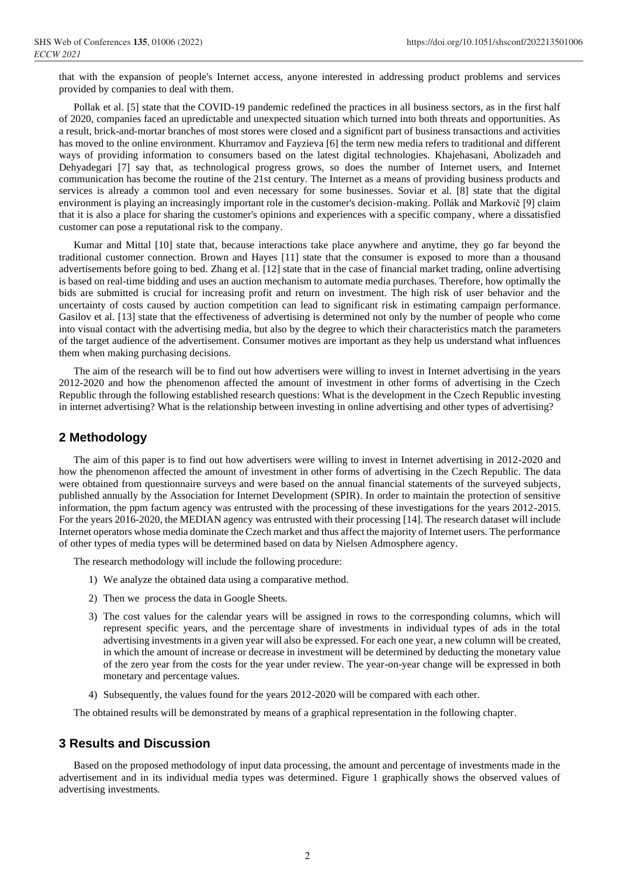that with the expansion of people's Internet access, anyone interested in addressing product problems and services provided by companies to deal with them.

Pollak et al. [5] state that the COVID-19 pandemic redefined the practices in all business sectors, as in the first half of 2020, companies faced an upredictable and unexpected situation which turned into both threats and opportunities. As a result, brick-and-mortar branches of most stores were closed and a significnt part of business transactions and activities has moved to the online environment. Khurramov and Fayzieva [6] the term new media refers to traditional and different ways of providing information to consumers based on the latest digital technologies. Khajehasani, Abolizadeh and Dehyadegari [7] say that, as technological progress grows, so does the number of Internet users, and Internet communication has become the routine of the 21st century. The Internet as a means of providing business products and services is already a common tool and even necessary for some businesses. Soviar et al. [8] state that the digital environment is playing an increasingly important role in the customer's decision-making. Pollák and Markovič [9] claim that it is also a place for sharing the customer's opinions and experiences with a specific company, where a dissatisfied customer can pose a reputational risk to the company.

Kumar and Mittal [10] state that, because interactions take place anywhere and anytime, they go far beyond the traditional customer connection. Brown and Hayes [11] state that the consumer is exposed to more than a thousand advertisements before going to bed. Zhang et al. [12] state that in the case of financial market trading, online advertising is based on real-time bidding and uses an auction mechanism to automate media purchases. Therefore, how optimally the bids are submitted is crucial for increasing profit and return on investment. The high risk of user behavior and the uncertainty of costs caused by auction competition can lead to significant risk in estimating campaign performance. Gasilov et al. [13] state that the effectiveness of advertising is determined not only by the number of people who come into visual contact with the advertising media, but also by the degree to which their characteristics match the parameters of the target audience of the advertisement. Consumer motives are important as they help us understand what influences them when making purchasing decisions.

The aim of the research will be to find out how advertisers were willing to invest in Internet advertising in the years 2012-2020 and how the phenomenon affected the amount of investment in other forms of advertising in the Czech Republic through the following established research questions: What is the development in the Czech Republic investing in internet advertising? What is the relationship between investing in online advertising and other types of advertising?

# **2 Methodology**

The aim of this paper is to find out how advertisers were willing to invest in Internet advertising in 2012-2020 and how the phenomenon affected the amount of investment in other forms of advertising in the Czech Republic. The data were obtained from questionnaire surveys and were based on the annual financial statements of the surveyed subjects, published annually by the Association for Internet Development (SPIR). In order to maintain the protection of sensitive information, the ppm factum agency was entrusted with the processing of these investigations for the years 2012-2015. For the years 2016-2020, the MEDIAN agency was entrusted with their processing [14]. The research dataset will include Internet operators whose media dominate the Czech market and thus affect the majority of Internet users. The performance of other types of media types will be determined based on data by Nielsen Admosphere agency.

The research methodology will include the following procedure:

- 1) We analyze the obtained data using a comparative method.
- 2) Then we process the data in Google Sheets.
- 3) The cost values for the calendar years will be assigned in rows to the corresponding columns, which will represent specific years, and the percentage share of investments in individual types of ads in the total advertising investments in a given year will also be expressed. For each one year, a new column will be created, in which the amount of increase or decrease in investment will be determined by deducting the monetary value of the zero year from the costs for the year under review. The year-on-year change will be expressed in both monetary and percentage values.
- 4) Subsequently, the values found for the years 2012-2020 will be compared with each other.

The obtained results will be demonstrated by means of a graphical representation in the following chapter.

## **3 Results and Discussion**

Based on the proposed methodology of input data processing, the amount and percentage of investments made in the advertisement and in its individual media types was determined. Figure 1 graphically shows the observed values of advertising investments.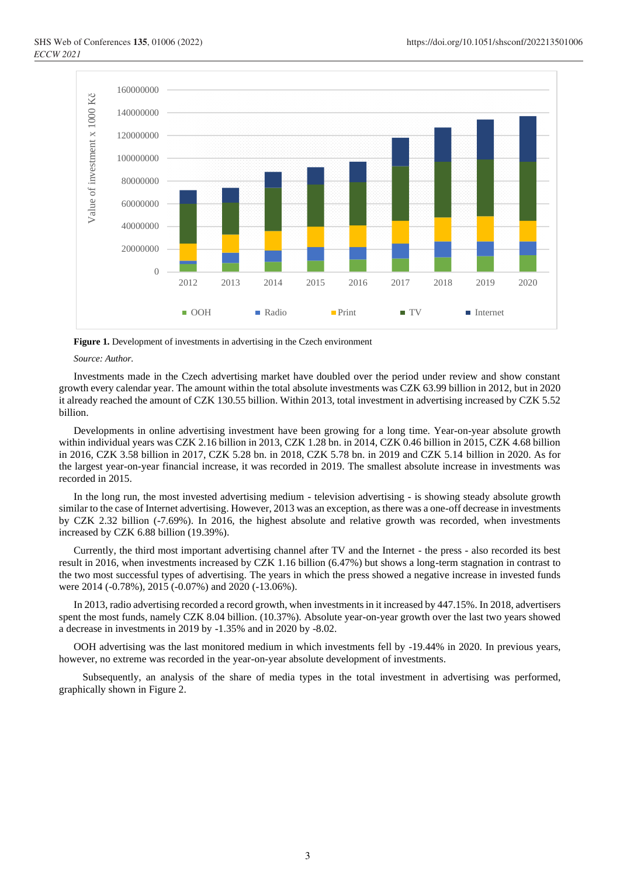

**Figure 1.** Development of investments in advertising in the Czech environment

*Source: Author.*

Investments made in the Czech advertising market have doubled over the period under review and show constant growth every calendar year. The amount within the total absolute investments was CZK 63.99 billion in 2012, but in 2020 it already reached the amount of CZK 130.55 billion. Within 2013, total investment in advertising increased by CZK 5.52 billion.

Developments in online advertising investment have been growing for a long time. Year-on-year absolute growth within individual years was CZK 2.16 billion in 2013, CZK 1.28 bn. in 2014, CZK 0.46 billion in 2015, CZK 4.68 billion in 2016, CZK 3.58 billion in 2017, CZK 5.28 bn. in 2018, CZK 5.78 bn. in 2019 and CZK 5.14 billion in 2020. As for the largest year-on-year financial increase, it was recorded in 2019. The smallest absolute increase in investments was recorded in 2015.

In the long run, the most invested advertising medium - television advertising - is showing steady absolute growth similar to the case of Internet advertising. However, 2013 was an exception, as there was a one-off decrease in investments by CZK 2.32 billion (-7.69%). In 2016, the highest absolute and relative growth was recorded, when investments increased by CZK 6.88 billion (19.39%).

Currently, the third most important advertising channel after TV and the Internet - the press - also recorded its best result in 2016, when investments increased by CZK 1.16 billion (6.47%) but shows a long-term stagnation in contrast to the two most successful types of advertising. The years in which the press showed a negative increase in invested funds were 2014 (-0.78%), 2015 (-0.07%) and 2020 (-13.06%).

In 2013, radio advertising recorded a record growth, when investments in it increased by 447.15%. In 2018, advertisers spent the most funds, namely CZK 8.04 billion. (10.37%). Absolute year-on-year growth over the last two years showed a decrease in investments in 2019 by -1.35% and in 2020 by -8.02.

OOH advertising was the last monitored medium in which investments fell by -19.44% in 2020. In previous years, however, no extreme was recorded in the year-on-year absolute development of investments.

Subsequently, an analysis of the share of media types in the total investment in advertising was performed, graphically shown in Figure 2.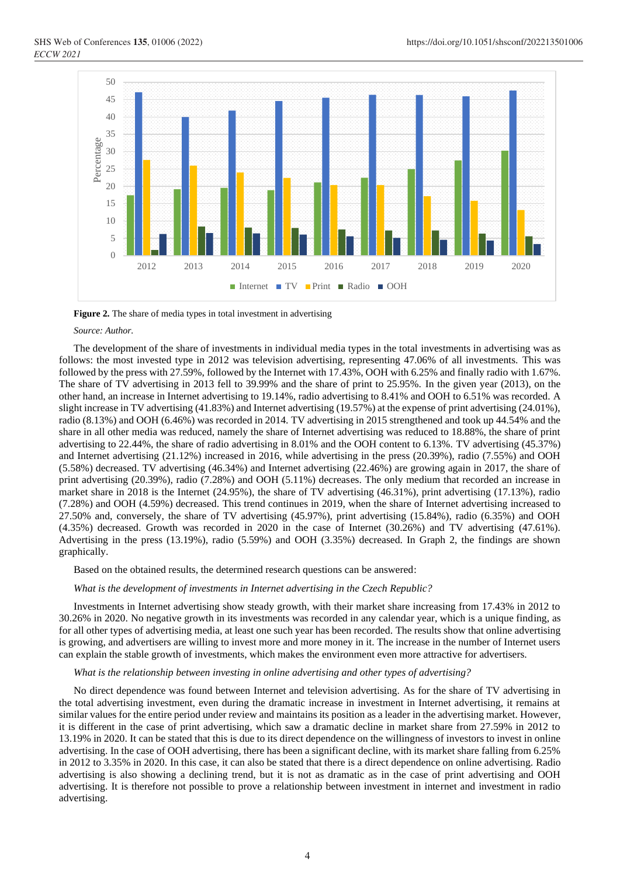

**Figure 2.** The share of media types in total investment in advertising

#### *Source: Author.*

The development of the share of investments in individual media types in the total investments in advertising was as follows: the most invested type in 2012 was television advertising, representing 47.06% of all investments. This was followed by the press with 27.59%, followed by the Internet with 17.43%, OOH with 6.25% and finally radio with 1.67%. The share of TV advertising in 2013 fell to 39.99% and the share of print to 25.95%. In the given year (2013), on the other hand, an increase in Internet advertising to 19.14%, radio advertising to 8.41% and OOH to 6.51% was recorded. A slight increase in TV advertising (41.83%) and Internet advertising (19.57%) at the expense of print advertising (24.01%), radio (8.13%) and OOH (6.46%) was recorded in 2014. TV advertising in 2015 strengthened and took up 44.54% and the share in all other media was reduced, namely the share of Internet advertising was reduced to 18.88%, the share of print advertising to 22.44%, the share of radio advertising in 8.01% and the OOH content to 6.13%. TV advertising (45.37%) and Internet advertising (21.12%) increased in 2016, while advertising in the press (20.39%), radio (7.55%) and OOH (5.58%) decreased. TV advertising (46.34%) and Internet advertising (22.46%) are growing again in 2017, the share of print advertising (20.39%), radio (7.28%) and OOH (5.11%) decreases. The only medium that recorded an increase in market share in 2018 is the Internet (24.95%), the share of TV advertising (46.31%), print advertising (17.13%), radio (7.28%) and OOH (4.59%) decreased. This trend continues in 2019, when the share of Internet advertising increased to 27.50% and, conversely, the share of TV advertising (45.97%), print advertising (15.84%), radio (6.35%) and OOH (4.35%) decreased. Growth was recorded in 2020 in the case of Internet (30.26%) and TV advertising (47.61%). Advertising in the press (13.19%), radio (5.59%) and OOH (3.35%) decreased. In Graph 2, the findings are shown graphically.

Based on the obtained results, the determined research questions can be answered:

*What is the development of investments in Internet advertising in the Czech Republic?*

Investments in Internet advertising show steady growth, with their market share increasing from 17.43% in 2012 to 30.26% in 2020. No negative growth in its investments was recorded in any calendar year, which is a unique finding, as for all other types of advertising media, at least one such year has been recorded. The results show that online advertising is growing, and advertisers are willing to invest more and more money in it. The increase in the number of Internet users can explain the stable growth of investments, which makes the environment even more attractive for advertisers.

#### *What is the relationship between investing in online advertising and other types of advertising?*

No direct dependence was found between Internet and television advertising. As for the share of TV advertising in the total advertising investment, even during the dramatic increase in investment in Internet advertising, it remains at similar values for the entire period under review and maintains its position as a leader in the advertising market. However, it is different in the case of print advertising, which saw a dramatic decline in market share from 27.59% in 2012 to 13.19% in 2020. It can be stated that this is due to its direct dependence on the willingness of investors to invest in online advertising. In the case of OOH advertising, there has been a significant decline, with its market share falling from 6.25% in 2012 to 3.35% in 2020. In this case, it can also be stated that there is a direct dependence on online advertising. Radio advertising is also showing a declining trend, but it is not as dramatic as in the case of print advertising and OOH advertising. It is therefore not possible to prove a relationship between investment in internet and investment in radio advertising.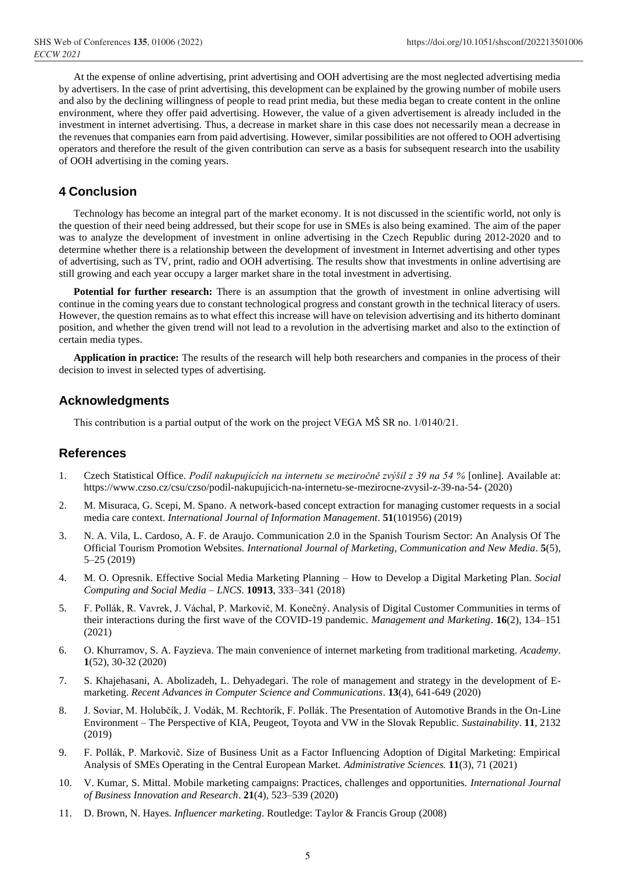At the expense of online advertising, print advertising and OOH advertising are the most neglected advertising media by advertisers. In the case of print advertising, this development can be explained by the growing number of mobile users and also by the declining willingness of people to read print media, but these media began to create content in the online environment, where they offer paid advertising. However, the value of a given advertisement is already included in the investment in internet advertising. Thus, a decrease in market share in this case does not necessarily mean a decrease in the revenues that companies earn from paid advertising. However, similar possibilities are not offered to OOH advertising operators and therefore the result of the given contribution can serve as a basis for subsequent research into the usability of OOH advertising in the coming years.

# **4 Conclusion**

Technology has become an integral part of the market economy. It is not discussed in the scientific world, not only is the question of their need being addressed, but their scope for use in SMEs is also being examined. The aim of the paper was to analyze the development of investment in online advertising in the Czech Republic during 2012-2020 and to determine whether there is a relationship between the development of investment in Internet advertising and other types of advertising, such as TV, print, radio and OOH advertising. The results show that investments in online advertising are still growing and each year occupy a larger market share in the total investment in advertising.

**Potential for further research:** There is an assumption that the growth of investment in online advertising will continue in the coming years due to constant technological progress and constant growth in the technical literacy of users. However, the question remains as to what effect this increase will have on television advertising and its hitherto dominant position, and whether the given trend will not lead to a revolution in the advertising market and also to the extinction of certain media types.

**Application in practice:** The results of the research will help both researchers and companies in the process of their decision to invest in selected types of advertising.

## **Acknowledgments**

This contribution is a partial output of the work on the project VEGA MŠ SR no. 1/0140/21.

## **References**

- 1. Czech Statistical Office. *Podíl nakupujících na internetu se meziročně zvýšil z 39 na 54 %* [online]. Available at: https://www.czso.cz/csu/czso/podil-nakupujicich-na-internetu-se-mezirocne-zvysil-z-39-na-54- (2020)
- 2. M. Misuraca, G. Scepi, M. Spano. A network-based concept extraction for managing customer requests in a social media care context. *International Journal of Information Management.* **51**(101956) (2019)
- 3. N. A. Vila, L. Cardoso, A. F. de Araujo. Communication 2.0 in the Spanish Tourism Sector: An Analysis Of The Official Tourism Promotion Websites. *International Journal of Marketing, Communication and New Media*. **5**(5), 5–25 (2019)
- 4. M. O. Opresnik. Effective Social Media Marketing Planning How to Develop a Digital Marketing Plan. *Social Computing and Social Media – LNCS*. **10913**, 333–341 (2018)
- 5. F. Pollák, R. Vavrek, J. Váchal, P. Markovič, M. Konečný. Analysis of Digital Customer Communities in terms of their interactions during the first wave of the COVID-19 pandemic. *Management and Marketing*. **16**(2), 134–151 (2021)
- 6. O. Khurramov, S. A. Fayzieva. The main convenience of internet marketing from traditional marketing. *Academy*. **1**(52), 30-32 (2020)
- 7. S. Khajehasani, A. Abolizadeh, L. Dehyadegari. The role of management and strategy in the development of Emarketing. *Recent Advances in Computer Science and Communications*. **13**(4), 641-649 (2020)
- 8. J. Soviar, M. Holubčík, J. Vodák, M. Rechtorík, F. Pollák. The Presentation of Automotive Brands in the On-Line Environment – The Perspective of KIA, Peugeot, Toyota and VW in the Slovak Republic. *Sustainability*. **11**, 2132 (2019)
- 9. F. Pollák, P. Markovič. Size of Business Unit as a Factor Influencing Adoption of Digital Marketing: Empirical Analysis of SMEs Operating in the Central European Market. *Administrative Sciences.* **11**(3), 71 (2021)
- 10. V. Kumar, S. Mittal. Mobile marketing campaigns: Practices, challenges and opportunities. *International Journal of Business Innovation and Research*. **21**(4), 523–539 (2020)
- 11. D. Brown, N. Hayes. *Influencer marketing*. Routledge: Taylor & Francis Group (2008)